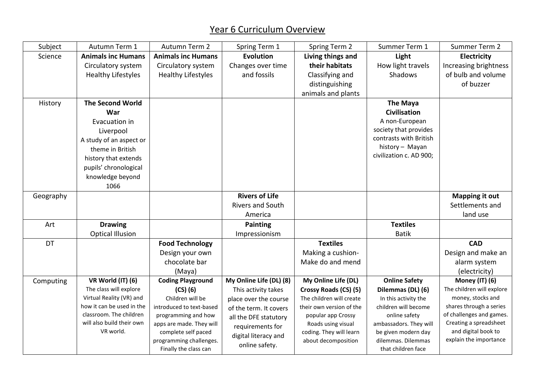## Year 6 Curriculum Overview

| Subject   | Autumn Term 1                          | Autumn Term 2                                    | Spring Term 1           | <b>Spring Term 2</b>     | Summer Term 1                             | Summer Term 2                                 |
|-----------|----------------------------------------|--------------------------------------------------|-------------------------|--------------------------|-------------------------------------------|-----------------------------------------------|
| Science   | <b>Animals inc Humans</b>              | <b>Animals inc Humans</b>                        | <b>Evolution</b>        | Living things and        | Light                                     | <b>Electricity</b>                            |
|           | Circulatory system                     | Circulatory system                               | Changes over time       | their habitats           | How light travels                         | Increasing brightness                         |
|           | <b>Healthy Lifestyles</b>              | <b>Healthy Lifestyles</b>                        | and fossils             | Classifying and          | Shadows                                   | of bulb and volume                            |
|           |                                        |                                                  |                         | distinguishing           |                                           | of buzzer                                     |
|           |                                        |                                                  |                         | animals and plants       |                                           |                                               |
| History   | <b>The Second World</b>                |                                                  |                         |                          | <b>The Maya</b>                           |                                               |
|           | War                                    |                                                  |                         |                          | Civilisation                              |                                               |
|           | Evacuation in                          |                                                  |                         |                          | A non-European                            |                                               |
|           | Liverpool                              |                                                  |                         |                          | society that provides                     |                                               |
|           | A study of an aspect or                |                                                  |                         |                          | contrasts with British                    |                                               |
|           | theme in British                       |                                                  |                         |                          | history - Mayan                           |                                               |
|           | history that extends                   |                                                  |                         |                          | civilization c. AD 900;                   |                                               |
|           | pupils' chronological                  |                                                  |                         |                          |                                           |                                               |
|           | knowledge beyond                       |                                                  |                         |                          |                                           |                                               |
|           | 1066                                   |                                                  |                         |                          |                                           |                                               |
| Geography |                                        |                                                  | <b>Rivers of Life</b>   |                          |                                           | <b>Mapping it out</b>                         |
|           |                                        |                                                  | <b>Rivers and South</b> |                          |                                           | Settlements and                               |
|           |                                        |                                                  | America                 |                          |                                           | land use                                      |
| Art       | <b>Drawing</b>                         |                                                  | <b>Painting</b>         |                          | <b>Textiles</b>                           |                                               |
|           | <b>Optical Illusion</b>                |                                                  | Impressionism           |                          | <b>Batik</b>                              |                                               |
| DT        |                                        | <b>Food Technology</b>                           |                         | <b>Textiles</b>          |                                           | <b>CAD</b>                                    |
|           |                                        | Design your own                                  |                         | Making a cushion-        |                                           | Design and make an                            |
|           |                                        | chocolate bar                                    |                         | Make do and mend         |                                           | alarm system                                  |
|           |                                        | (Maya)                                           |                         |                          |                                           | (electricity)                                 |
| Computing | VR World (IT) (6)                      | <b>Coding Playground</b>                         | My Online Life (DL) (8) | My Online Life (DL)      | <b>Online Safety</b>                      | Money (IT) (6)                                |
|           | The class will explore                 | $(CS)$ $(6)$                                     | This activity takes     | Crossy Roads (CS) (5)    | Dilemmas (DL) (6)                         | The children will explore                     |
|           | Virtual Reality (VR) and               | Children will be                                 | place over the course   | The children will create | In this activity the                      | money, stocks and                             |
|           | how it can be used in the              | introduced to text-based                         | of the term. It covers  | their own version of the | children will become                      | shares through a series                       |
|           | classroom. The children                | programming and how                              | all the DFE statutory   | popular app Crossy       | online safety                             | of challenges and games.                      |
|           | will also build their own<br>VR world. | apps are made. They will                         | requirements for        | Roads using visual       | ambassadors. They will                    | Creating a spreadsheet<br>and digital book to |
|           |                                        | complete self paced                              | digital literacy and    | coding. They will learn  | be given modern day<br>dilemmas. Dilemmas | explain the importance                        |
|           |                                        | programming challenges.<br>Finally the class can | online safety.          | about decomposition      | that children face                        |                                               |
|           |                                        |                                                  |                         |                          |                                           |                                               |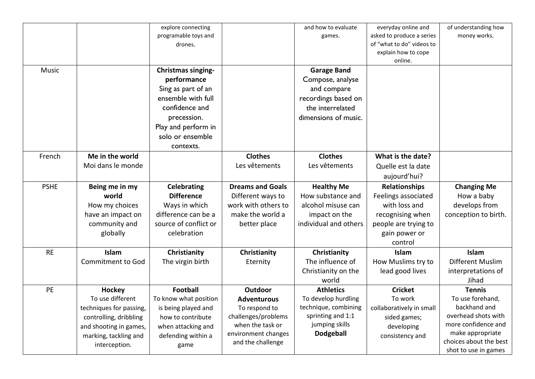|             |                                                                                                                                                            | explore connecting<br>programable toys and<br>drones.                                                                                                                         |                                                                                                                                       | and how to evaluate<br>games.                                                                                              | everyday online and<br>asked to produce a series<br>of "what to do" videos to<br>explain how to cope<br>online.                      | of understanding how<br>money works.                                                                                                                                  |
|-------------|------------------------------------------------------------------------------------------------------------------------------------------------------------|-------------------------------------------------------------------------------------------------------------------------------------------------------------------------------|---------------------------------------------------------------------------------------------------------------------------------------|----------------------------------------------------------------------------------------------------------------------------|--------------------------------------------------------------------------------------------------------------------------------------|-----------------------------------------------------------------------------------------------------------------------------------------------------------------------|
| Music       |                                                                                                                                                            | <b>Christmas singing-</b><br>performance<br>Sing as part of an<br>ensemble with full<br>confidence and<br>precession.<br>Play and perform in<br>solo or ensemble<br>contexts. |                                                                                                                                       | <b>Garage Band</b><br>Compose, analyse<br>and compare<br>recordings based on<br>the interrelated<br>dimensions of music.   |                                                                                                                                      |                                                                                                                                                                       |
| French      | Me in the world<br>Moi dans le monde                                                                                                                       |                                                                                                                                                                               | <b>Clothes</b><br>Les vêtements                                                                                                       | <b>Clothes</b><br>Les vêtements                                                                                            | What is the date?<br>Quelle est la date<br>aujourd'hui?                                                                              |                                                                                                                                                                       |
| <b>PSHE</b> | Being me in my<br>world<br>How my choices<br>have an impact on<br>community and<br>globally                                                                | Celebrating<br><b>Difference</b><br>Ways in which<br>difference can be a<br>source of conflict or<br>celebration                                                              | <b>Dreams and Goals</b><br>Different ways to<br>work with others to<br>make the world a<br>better place                               | <b>Healthy Me</b><br>How substance and<br>alcohol misuse can<br>impact on the<br>individual and others                     | <b>Relationships</b><br>Feelings associated<br>with loss and<br>recognising when<br>people are trying to<br>gain power or<br>control | <b>Changing Me</b><br>How a baby<br>develops from<br>conception to birth.                                                                                             |
| <b>RE</b>   | Islam<br><b>Commitment to God</b>                                                                                                                          | Christianity<br>The virgin birth                                                                                                                                              | Christianity<br>Eternity                                                                                                              | Christianity<br>The influence of<br>Christianity on the<br>world                                                           | Islam<br>How Muslims try to<br>lead good lives                                                                                       | Islam<br>Different Muslim<br>interpretations of<br>Jihad                                                                                                              |
| PE          | <b>Hockey</b><br>To use different<br>techniques for passing,<br>controlling, dribbling<br>and shooting in games,<br>marking, tackling and<br>interception. | <b>Football</b><br>To know what position<br>is being played and<br>how to contribute<br>when attacking and<br>defending within a<br>game                                      | Outdoor<br><b>Adventurous</b><br>To respond to<br>challenges/problems<br>when the task or<br>environment changes<br>and the challenge | <b>Athletics</b><br>To develop hurdling<br>technique, combining<br>sprinting and 1:1<br>jumping skills<br><b>Dodgeball</b> | <b>Cricket</b><br>To work<br>collaboratively in small<br>sided games;<br>developing<br>consistency and                               | <b>Tennis</b><br>To use forehand,<br>backhand and<br>overhead shots with<br>more confidence and<br>make appropriate<br>choices about the best<br>shot to use in games |